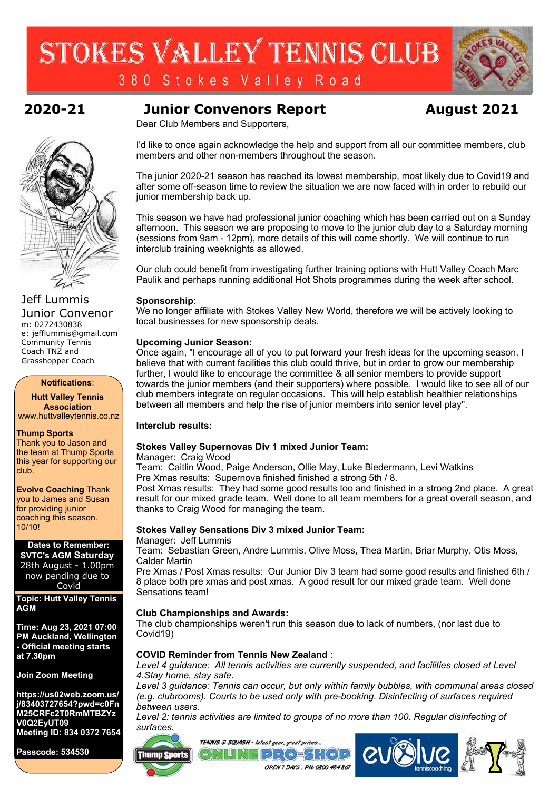# STOKES VALLEY TENNIS CLUB



380 Stokes Valley Road

### **2020-21 Junior Convenors Report August 2021**

Dear Club Members and Supporters,

I'd like to once again acknowledge the help and support from all our committee members, club members and other non-members throughout the season.

The junior 2020-21 season has reached its lowest membership, most likely due to Covid19 and after some off-season time to review the situation we are now faced with in order to rebuild our junior membership back up.

This season we have had professional junior coachingwhich has been carried out on <sup>a</sup> Sunday afternoon. This season we are proposing to move to the junior club day toa Saturday morning (sessions from 9am - 12pm), more details of this will come shortly. We will continue to run interclub training weeknights as allowed.

Our club could benefit from investigating further training options with Hutt Valley Coach Marc Paulik and perhaps running additional Hot Shots programmes during the week after school.

#### **Sponsorship**:

We no longer affiliate with Stokes Valley New World, therefore wewill be actively looking to local businesses for new sponsorship deals.

#### **Upcoming Junior Season:**

Once again, "I encourage all of you to put forward your fresh ideas for the upcoming season. I believe that with current facilities this club could thrive, but in order to grow our membership further, I would like to encourage the committee & all senior members to provide support towards the junior members (and their supporters) where possible. I would like to see all of our club members integrate on regular occasions. This will help establish healthier relationships between all members and help the rise of junior members into senior level play".

#### **Interclub results:**

#### **Stokes Valley Supernovas Div 1 mixed Junior Team:**

Manager: Craig Wood

Team: Caitlin Wood, Paige Anderson, Ollie May, Luke Biedermann, Levi Watkins Pre Xmas results: Supernova finished finished <sup>a</sup> strong 5th / 8.

Post Xmas results: They had some good results too and finished in <sup>a</sup> strong 2nd place. A great result for our mixed grade team. Well done to all team members for a great overall season, and thanks to Craig Wood for managing the team.

#### **Stokes Valley Sensations Div 3 mixed Junior Team:**

Manager: Jeff Lummis

**Thump Sports** 

Team: Sebastian Green, Andre Lummis, Olive Moss, Thea Martin, Briar Murphy, Otis Moss, Calder Martin

Pre Xmas / Post Xmas results: Our Junior Div 3 team had some good results and finished 6th / 8 place both pre xmas and post xmas. A good result for our mixedgrade team. Well done Sensations team!

#### **Club Championships and Awards:**

The club championships weren't run this season due to lack of numbers, (nor last due to Covid19)

### **COVID Reminder from Tennis New Zealand** :

*Level 4 guidance: All tennis activities are currently suspended, and facilities closed at Level 4.Stay home, stay safe.*

*Level 3 guidance: Tennis can occur, but only within family bubbles, with communal areas closed (e.g. clubrooms). Courts to be used only with pre-booking. Disinfecting of surfaces required between users.*

*Level 2:tennis activities are limited to groups of no more than 100. Regular disinfecting of surfaces.*



Jeff Lummis Junior Convenor m: 0272430838 e: jefflummis@gmail.com Community Tennis Coach TNZ and Grasshopper Coach

**Notifications**:

**Hutt Valley Tennis Association** www.huttvalleytennis.co.nz

#### **Thump Sports**

Thank you to Jason and the team at Thump Sports this year for supporting our club.

**Evolve Coaching** Thank you to James and Susan for providing junior coaching this season. 10/10!

#### **Dates to Remember: SVTC's AGM Saturday** 28th August - 1.00pm now pending due to

Covid **Topic: Hutt Valley Tennis AGM**

**Time: Aug 23, 2021 07:00 PM Auckland, Wellington - Official meeting starts at 7.30pm**

**Join Zoom Meeting**

**https://us02web.zoom.us/ j/83403727654?pwd=c0Fn M25CRFc2T0RmMTBZYz V0Q2EyUT09 Meeting ID: 834 0372 7654**

**Passcode: 534530**



TENNIS & SQUASH - latest gear, great prices...

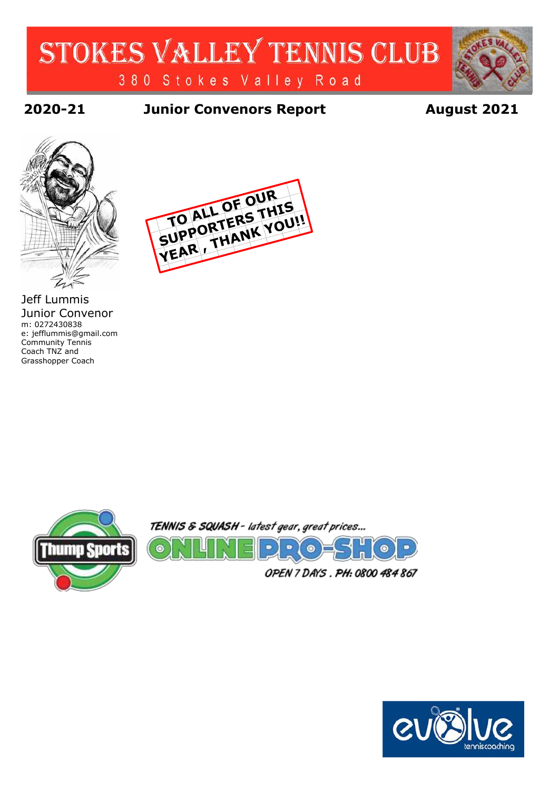## STOKES VALLEY TENNIS CLUB 380 Stokes Valley Road

**2020-21 Junior Convenors Report August 2021**



Jeff Lummis Junior Convenor m: 0272430838 e: jefflummis@gmail.com Community Tennis Coach TNZ and Grasshopper Coach





 $\bullet$ 

TENNIS & SQUASH - latest gear, great prices...



OPEN 7 DAYS. PH: 0800 484 867